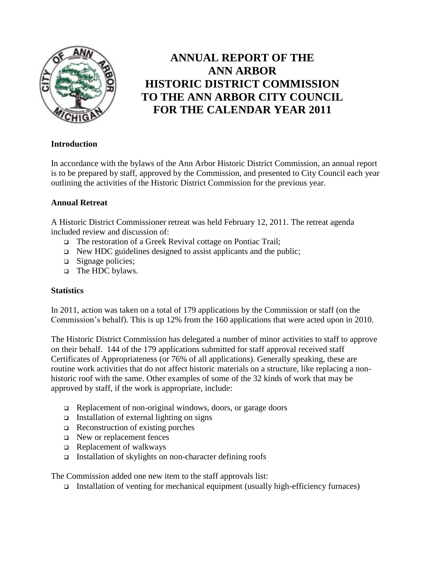

# **ANNUAL REPORT OF THE ANN ARBOR HISTORIC DISTRICT COMMISSION TO THE ANN ARBOR CITY COUNCIL FOR THE CALENDAR YEAR 2011**

#### **Introduction**

In accordance with the bylaws of the Ann Arbor Historic District Commission, an annual report is to be prepared by staff, approved by the Commission, and presented to City Council each year outlining the activities of the Historic District Commission for the previous year.

#### **Annual Retreat**

A Historic District Commissioner retreat was held February 12, 2011. The retreat agenda included review and discussion of:

- The restoration of a Greek Revival cottage on Pontiac Trail;
- $\Box$  New HDC guidelines designed to assist applicants and the public;
- $\Box$  Signage policies;
- $\Box$  The HDC bylaws.

#### **Statistics**

In 2011, action was taken on a total of 179 applications by the Commission or staff (on the Commission's behalf). This is up 12% from the 160 applications that were acted upon in 2010.

The Historic District Commission has delegated a number of minor activities to staff to approve on their behalf. 144 of the 179 applications submitted for staff approval received staff Certificates of Appropriateness (or 76% of all applications). Generally speaking, these are routine work activities that do not affect historic materials on a structure, like replacing a nonhistoric roof with the same. Other examples of some of the 32 kinds of work that may be approved by staff, if the work is appropriate, include:

- □ Replacement of non-original windows, doors, or garage doors
- $\Box$  Installation of external lighting on signs
- $\Box$  Reconstruction of existing porches
- $\Box$  New or replacement fences
- $\Box$  Replacement of walkways
- Installation of skylights on non-character defining roofs

The Commission added one new item to the staff approvals list:

Installation of venting for mechanical equipment (usually high-efficiency furnaces)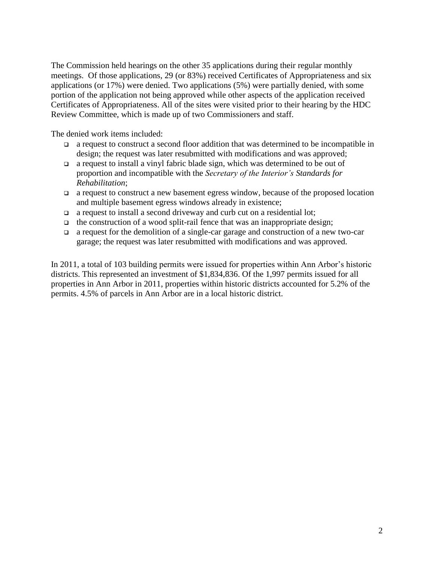The Commission held hearings on the other 35 applications during their regular monthly meetings. Of those applications, 29 (or 83%) received Certificates of Appropriateness and six applications (or 17%) were denied. Two applications (5%) were partially denied, with some portion of the application not being approved while other aspects of the application received Certificates of Appropriateness. All of the sites were visited prior to their hearing by the HDC Review Committee, which is made up of two Commissioners and staff.

The denied work items included:

- a request to construct a second floor addition that was determined to be incompatible in design; the request was later resubmitted with modifications and was approved;
- a request to install a vinyl fabric blade sign, which was determined to be out of proportion and incompatible with the *Secretary of the Interior's Standards for Rehabilitation*;
- $\Box$  a request to construct a new basement egress window, because of the proposed location and multiple basement egress windows already in existence;
- a request to install a second driveway and curb cut on a residential lot;
- $\Box$  the construction of a wood split-rail fence that was an inappropriate design;
- a request for the demolition of a single-car garage and construction of a new two-car garage; the request was later resubmitted with modifications and was approved.

In 2011, a total of 103 building permits were issued for properties within Ann Arbor's historic districts. This represented an investment of \$1,834,836. Of the 1,997 permits issued for all properties in Ann Arbor in 2011, properties within historic districts accounted for 5.2% of the permits. 4.5% of parcels in Ann Arbor are in a local historic district.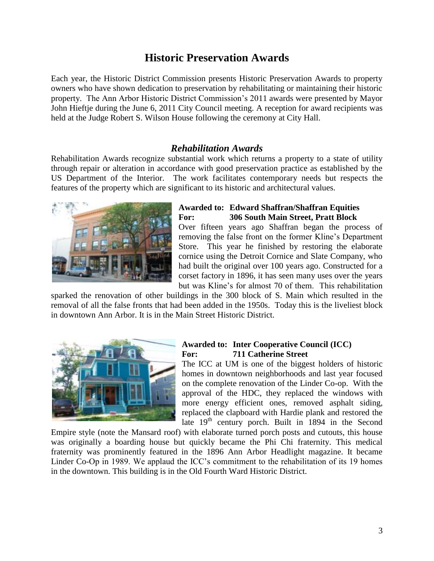# **Historic Preservation Awards**

Each year, the Historic District Commission presents Historic Preservation Awards to property owners who have shown dedication to preservation by rehabilitating or maintaining their historic property. The Ann Arbor Historic District Commission's 2011 awards were presented by Mayor John Hieftje during the June 6, 2011 City Council meeting. A reception for award recipients was held at the Judge Robert S. Wilson House following the ceremony at City Hall.

#### *Rehabilitation Awards*

Rehabilitation Awards recognize substantial work which returns a property to a state of utility through repair or alteration in accordance with good preservation practice as established by the US Department of the Interior. The work facilitates contemporary needs but respects the features of the property which are significant to its historic and architectural values.



#### **Awarded to: Edward Shaffran/Shaffran Equities For: 306 South Main Street, Pratt Block**

Over fifteen years ago Shaffran began the process of removing the false front on the former Kline's Department Store. This year he finished by restoring the elaborate cornice using the Detroit Cornice and Slate Company, who had built the original over 100 years ago. Constructed for a corset factory in 1896, it has seen many uses over the years but was Kline's for almost 70 of them. This rehabilitation

sparked the renovation of other buildings in the 300 block of S. Main which resulted in the removal of all the false fronts that had been added in the 1950s. Today this is the liveliest block in downtown Ann Arbor. It is in the Main Street Historic District.



#### **Awarded to: Inter Cooperative Council (ICC) For: 711 Catherine Street**

The ICC at UM is one of the biggest holders of historic homes in downtown neighborhoods and last year focused on the complete renovation of the Linder Co-op. With the approval of the HDC, they replaced the windows with more energy efficient ones, removed asphalt siding, replaced the clapboard with Hardie plank and restored the late 19<sup>th</sup> century porch. Built in 1894 in the Second

Empire style (note the Mansard roof) with elaborate turned porch posts and cutouts, this house was originally a boarding house but quickly became the Phi Chi fraternity. This medical fraternity was prominently featured in the 1896 Ann Arbor Headlight magazine. It became Linder Co-Op in 1989. We applaud the ICC's commitment to the rehabilitation of its 19 homes in the downtown. This building is in the Old Fourth Ward Historic District.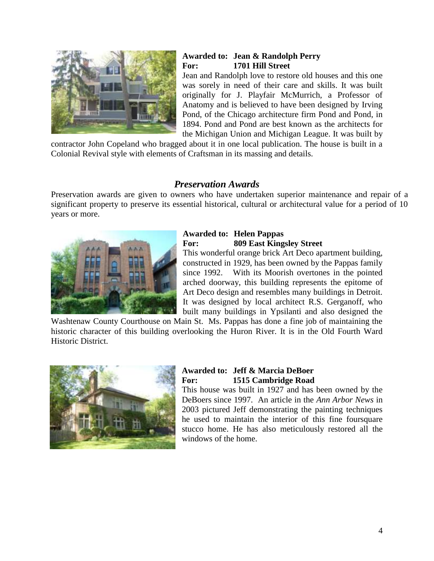

#### **Awarded to: Jean & Randolph Perry For: 1701 Hill Street**

Jean and Randolph love to restore old houses and this one was sorely in need of their care and skills. It was built originally for J. Playfair McMurrich, a Professor of Anatomy and is believed to have been designed by Irving Pond, of the Chicago architecture firm Pond and Pond, in 1894. Pond and Pond are best known as the architects for the Michigan Union and Michigan League. It was built by

contractor John Copeland who bragged about it in one local publication. The house is built in a Colonial Revival style with elements of Craftsman in its massing and details.

## *Preservation Awards*

Preservation awards are given to owners who have undertaken superior maintenance and repair of a significant property to preserve its essential historical, cultural or architectural value for a period of 10 years or more.



## **Awarded to: Helen Pappas For: 809 East Kingsley Street**

This wonderful orange brick Art Deco apartment building, constructed in 1929, has been owned by the Pappas family since 1992. With its Moorish overtones in the pointed arched doorway, this building represents the epitome of Art Deco design and resembles many buildings in Detroit. It was designed by local architect R.S. Gerganoff, who built many buildings in Ypsilanti and also designed the

Washtenaw County Courthouse on Main St. Ms. Pappas has done a fine job of maintaining the historic character of this building overlooking the Huron River. It is in the Old Fourth Ward Historic District.



### **Awarded to: Jeff & Marcia DeBoer For: 1515 Cambridge Road**

This house was built in 1927 and has been owned by the DeBoers since 1997. An article in the *Ann Arbor News* in 2003 pictured Jeff demonstrating the painting techniques he used to maintain the interior of this fine foursquare stucco home. He has also meticulously restored all the windows of the home.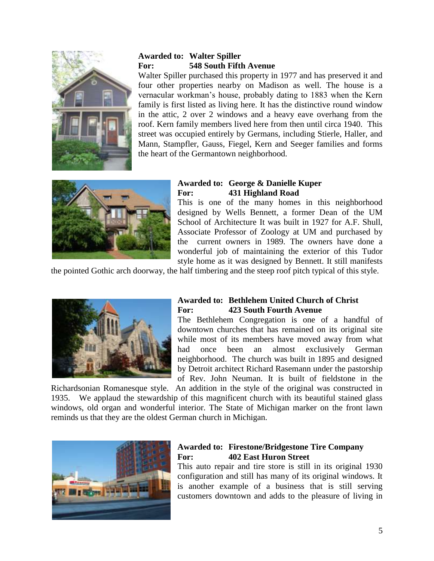

## **Awarded to: Walter Spiller For: 548 South Fifth Avenue**

Walter Spiller purchased this property in 1977 and has preserved it and four other properties nearby on Madison as well. The house is a vernacular workman's house, probably dating to 1883 when the Kern family is first listed as living here. It has the distinctive round window in the attic, 2 over 2 windows and a heavy eave overhang from the roof. Kern family members lived here from then until circa 1940. This street was occupied entirely by Germans, including Stierle, Haller, and Mann, Stampfler, Gauss, Fiegel, Kern and Seeger families and forms the heart of the Germantown neighborhood.



### **Awarded to: George & Danielle Kuper For: 431 Highland Road**

This is one of the many homes in this neighborhood designed by Wells Bennett, a former Dean of the UM School of Architecture It was built in 1927 for A.F. Shull, Associate Professor of Zoology at UM and purchased by the current owners in 1989. The owners have done a wonderful job of maintaining the exterior of this Tudor style home as it was designed by Bennett. It still manifests

the pointed Gothic arch doorway, the half timbering and the steep roof pitch typical of this style.



#### **Awarded to: Bethlehem United Church of Christ For: 423 South Fourth Avenue**

The Bethlehem Congregation is one of a handful of downtown churches that has remained on its original site while most of its members have moved away from what had once been an almost exclusively German neighborhood. The church was built in 1895 and designed by Detroit architect Richard Rasemann under the pastorship of Rev. John Neuman. It is built of fieldstone in the

Richardsonian Romanesque style. An addition in the style of the original was constructed in 1935. We applaud the stewardship of this magnificent church with its beautiful stained glass windows, old organ and wonderful interior. The State of Michigan marker on the front lawn reminds us that they are the oldest German church in Michigan.



#### **Awarded to: Firestone/Bridgestone Tire Company For: 402 East Huron Street**

This auto repair and tire store is still in its original 1930 configuration and still has many of its original windows. It is another example of a business that is still serving customers downtown and adds to the pleasure of living in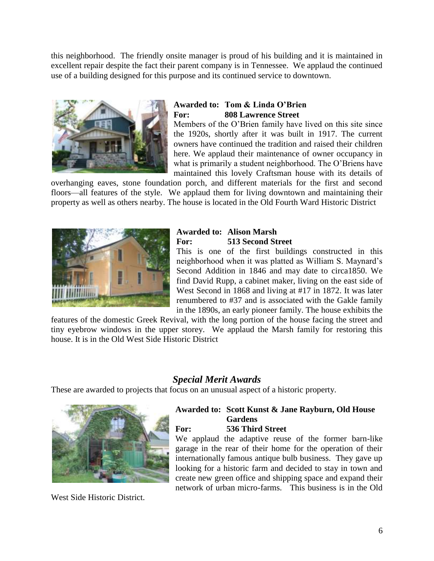this neighborhood. The friendly onsite manager is proud of his building and it is maintained in excellent repair despite the fact their parent company is in Tennessee. We applaud the continued use of a building designed for this purpose and its continued service to downtown.



## **Awarded to: Tom & Linda O'Brien For: 808 Lawrence Street**

Members of the O'Brien family have lived on this site since the 1920s, shortly after it was built in 1917. The current owners have continued the tradition and raised their children here. We applaud their maintenance of owner occupancy in what is primarily a student neighborhood. The O'Briens have maintained this lovely Craftsman house with its details of

overhanging eaves, stone foundation porch, and different materials for the first and second floors—all features of the style. We applaud them for living downtown and maintaining their property as well as others nearby. The house is located in the Old Fourth Ward Historic District



### **Awarded to: Alison Marsh For: 513 Second Street**

This is one of the first buildings constructed in this neighborhood when it was platted as William S. Maynard's Second Addition in 1846 and may date to circa1850. We find David Rupp, a cabinet maker, living on the east side of West Second in 1868 and living at #17 in 1872. It was later renumbered to #37 and is associated with the Gakle family in the 1890s, an early pioneer family. The house exhibits the

features of the domestic Greek Revival, with the long portion of the house facing the street and tiny eyebrow windows in the upper storey. We applaud the Marsh family for restoring this house. It is in the Old West Side Historic District

# *Special Merit Awards*

These are awarded to projects that focus on an unusual aspect of a historic property.



West Side Historic District.

# **Awarded to: Scott Kunst & Jane Rayburn, Old House Gardens**

**For: 536 Third Street** 

We applaud the adaptive reuse of the former barn-like garage in the rear of their home for the operation of their internationally famous antique bulb business. They gave up looking for a historic farm and decided to stay in town and create new green office and shipping space and expand their network of urban micro-farms. This business is in the Old